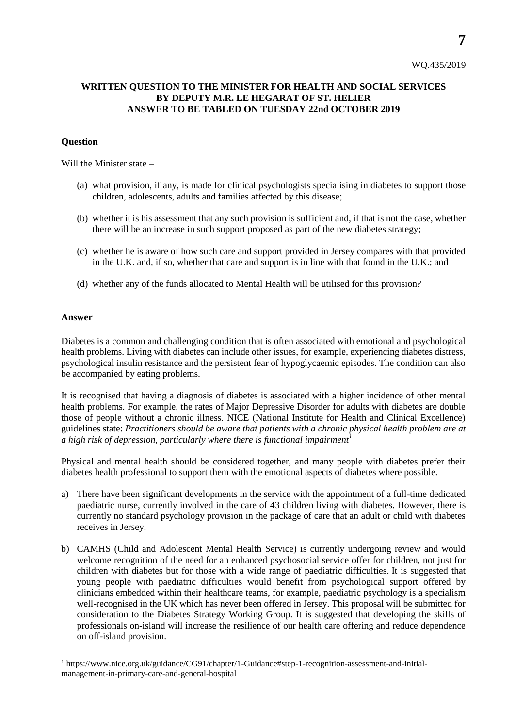**7**

## **WRITTEN QUESTION TO THE MINISTER FOR HEALTH AND SOCIAL SERVICES BY DEPUTY M.R. LE HEGARAT OF ST. HELIER ANSWER TO BE TABLED ON TUESDAY 22nd OCTOBER 2019**

## **Question**

Will the Minister state –

- (a) what provision, if any, is made for clinical psychologists specialising in diabetes to support those children, adolescents, adults and families affected by this disease;
- (b) whether it is his assessment that any such provision is sufficient and, if that is not the case, whether there will be an increase in such support proposed as part of the new diabetes strategy;
- (c) whether he is aware of how such care and support provided in Jersey compares with that provided in the U.K. and, if so, whether that care and support is in line with that found in the U.K.; and
- (d) whether any of the funds allocated to Mental Health will be utilised for this provision?

## **Answer**

l

Diabetes is a common and challenging condition that is often associated with emotional and psychological health problems. Living with diabetes can include other issues, for example, experiencing diabetes distress, psychological insulin resistance and the persistent fear of hypoglycaemic episodes. The condition can also be accompanied by eating problems.

It is recognised that having a diagnosis of diabetes is associated with a higher incidence of other mental health problems. For example, the rates of Major Depressive Disorder for adults with diabetes are double those of people without a chronic illness. NICE (National Institute for Health and Clinical Excellence) guidelines state: *Practitioners should be aware that patients with a chronic physical health problem are at a high risk of depression, particularly where there is functional impairment<sup>1</sup>*

Physical and mental health should be considered together, and many people with diabetes prefer their diabetes health professional to support them with the emotional aspects of diabetes where possible.

- a) There have been significant developments in the service with the appointment of a full-time dedicated paediatric nurse, currently involved in the care of 43 children living with diabetes. However, there is currently no standard psychology provision in the package of care that an adult or child with diabetes receives in Jersey.
- b) CAMHS (Child and Adolescent Mental Health Service) is currently undergoing review and would welcome recognition of the need for an enhanced psychosocial service offer for children, not just for children with diabetes but for those with a wide range of paediatric difficulties. It is suggested that young people with paediatric difficulties would benefit from psychological support offered by clinicians embedded within their healthcare teams, for example, paediatric psychology is a specialism well-recognised in the UK which has never been offered in Jersey. This proposal will be submitted for consideration to the Diabetes Strategy Working Group. It is suggested that developing the skills of professionals on-island will increase the resilience of our health care offering and reduce dependence on off-island provision.

<sup>1</sup> https://www.nice.org.uk/guidance/CG91/chapter/1-Guidance#step-1-recognition-assessment-and-initialmanagement-in-primary-care-and-general-hospital